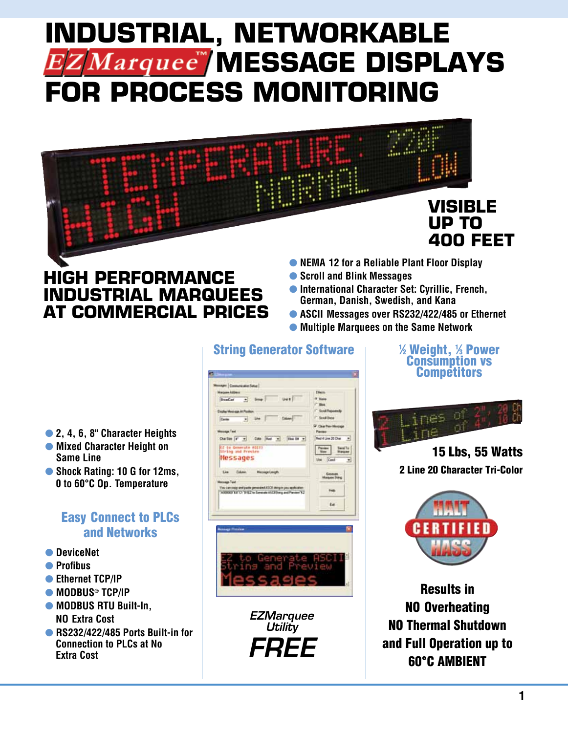# **INDUSTRIAL, NETWORKABLE**   $EZMarguee$  MESSAGE DISPLAYS **FOR PROCESS MONITORING**



# **high performance industrial marquees at commercial prices**

- **NEMA 12 for a Reliable Plant Floor Display**
- **Scroll and Blink Messages**
- $\bullet$  **International Character Set: Cyrillic, French, German, Danish, Swedish, and Kana**
- l **ASCII Messages over RS232/422/485 or Ethernet**
- l **Multiple Marquees on the Same Network**

# $\overline{A}$  and Ow fire (Fig. 2) Ode (Red. 2) (Ben 09 m) **Beddline 20 Oue #** (P. Le Genevate ADES) Person Senito **Messages** 때 Limma. gy and path generated ASCE sterp to pe<br>EETC "BIEZ to Earneate ASCERery an  $n_{\rm H}$ tu.

String Generator Software

1 ⁄2 Weight, 1 ⁄3 Power Consumption vs **Competitors** 



15 Lbs, 55 Watts 2 Line 20 Character Tri-Color



Results in NO Overheating NO Thermal Shutdown and Full Operation up to 60°C AMBIENT

- l **2, 4, 6, 8" Character Heights**
- $\bullet$  **Mixed Character Height on Same Line**
- l **Shock Rating: 10 G for 12ms, 0 to 60°C Op. Temperature**

#### Easy Connect to PLCs and Networks

- **O** DeviceNet
- $\bullet$  Profibus
- **C** Ethernet TCP/IP
- MODBUS<sup>®</sup> TCP/IP
- $\bullet$  **MODBUS RTU Built-In. NO Extra Cost**
- l **RS232/422/485 Ports Built-in for Connection to PLCs at No Extra Cost**

*EZMarquee Utility FREE*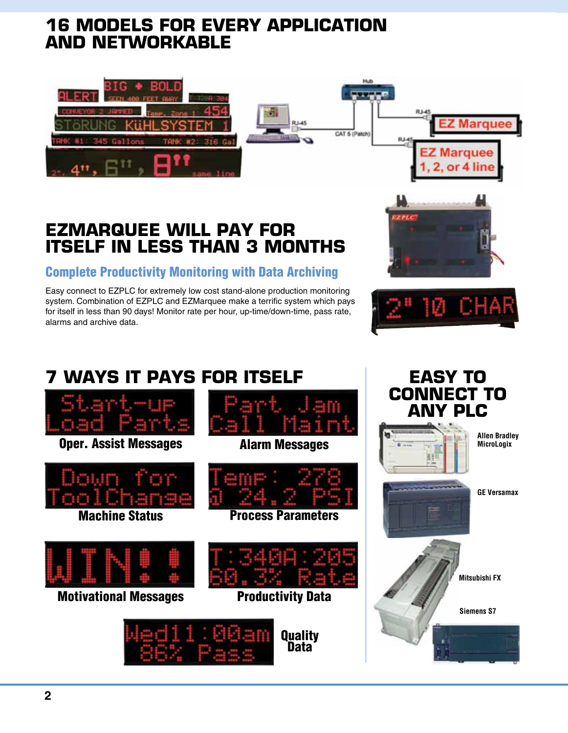### **16 models for every application and networkable**



### **ezmarquee will pay for itself in less than 3 months**

#### Complete Productivity Monitoring with Data Archiving

Easy connect to EZPLC for extremely low cost stand-alone production monitoring system. Combination of EZPLC and EZMarquee make a terrific system which pays for itself in less than 90 days! Monitor rate per hour, up-time/down-time, pass rate, alarms and archive data.





# **7 ways it pays for itself Easy to**

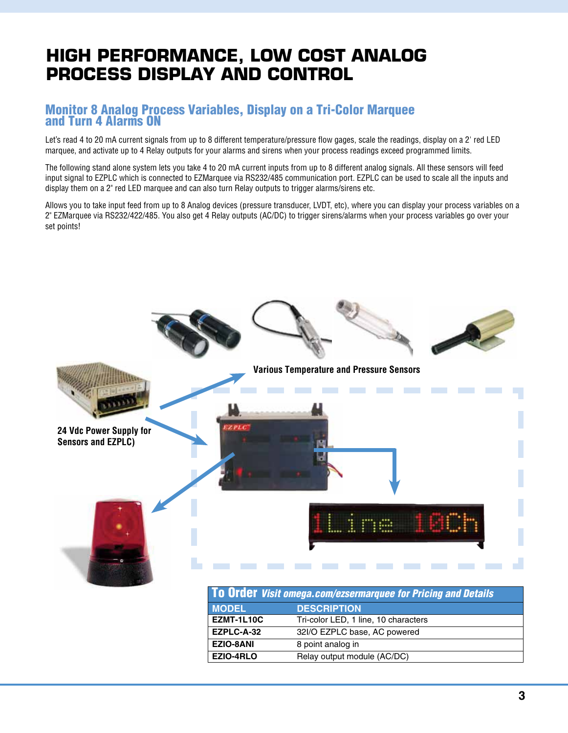# **high performance, low cost analog process display and control**

#### Monitor 8 Analog Process Variables, Display on a Tri-Color Marquee and Turn 4 Alarms ON

Let's read 4 to 20 mA current signals from up to 8 different temperature/pressure flow gages, scale the readings, display on a 2' red LED marquee, and activate up to 4 Relay outputs for your alarms and sirens when your process readings exceed programmed limits.

The following stand alone system lets you take 4 to 20 mA current inputs from up to 8 different analog signals. All these sensors will feed input signal to EZPLC which is connected to EZMarquee via RS232/485 communication port. EZPLC can be used to scale all the inputs and display them on a 2" red LED marquee and can also turn Relay outputs to trigger alarms/sirens etc.

Allows you to take input feed from up to 8 Analog devices (pressure transducer, LVDT, etc), where you can display your process variables on a 2" EZMarquee via RS232/422/485. You also get 4 Relay outputs (AC/DC) to trigger sirens/alarms when your process variables go over your set points!